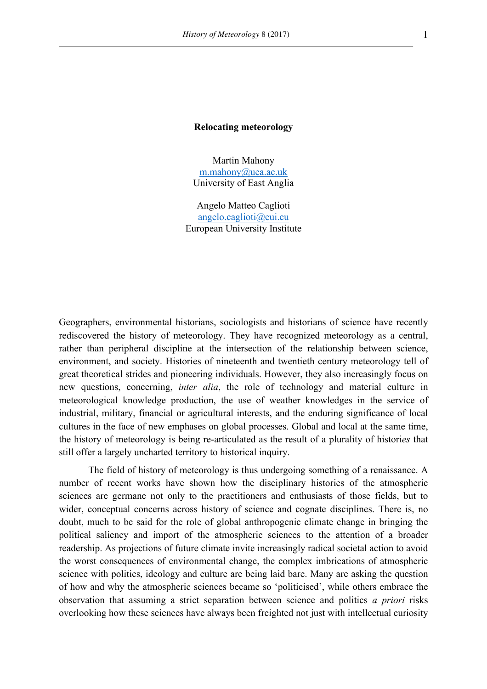#### **Relocating meteorology**

Martin Mahony m.mahony@uea.ac.uk University of East Anglia

Angelo Matteo Caglioti angelo.caglioti@eui.eu European University Institute

Geographers, environmental historians, sociologists and historians of science have recently rediscovered the history of meteorology. They have recognized meteorology as a central, rather than peripheral discipline at the intersection of the relationship between science, environment, and society. Histories of nineteenth and twentieth century meteorology tell of great theoretical strides and pioneering individuals. However, they also increasingly focus on new questions, concerning, *inter alia*, the role of technology and material culture in meteorological knowledge production, the use of weather knowledges in the service of industrial, military, financial or agricultural interests, and the enduring significance of local cultures in the face of new emphases on global processes. Global and local at the same time, the history of meteorology is being re-articulated as the result of a plurality of histori*es* that still offer a largely uncharted territory to historical inquiry.

The field of history of meteorology is thus undergoing something of a renaissance. A number of recent works have shown how the disciplinary histories of the atmospheric sciences are germane not only to the practitioners and enthusiasts of those fields, but to wider, conceptual concerns across history of science and cognate disciplines. There is, no doubt, much to be said for the role of global anthropogenic climate change in bringing the political saliency and import of the atmospheric sciences to the attention of a broader readership. As projections of future climate invite increasingly radical societal action to avoid the worst consequences of environmental change, the complex imbrications of atmospheric science with politics, ideology and culture are being laid bare. Many are asking the question of how and why the atmospheric sciences became so 'politicised', while others embrace the observation that assuming a strict separation between science and politics *a priori* risks overlooking how these sciences have always been freighted not just with intellectual curiosity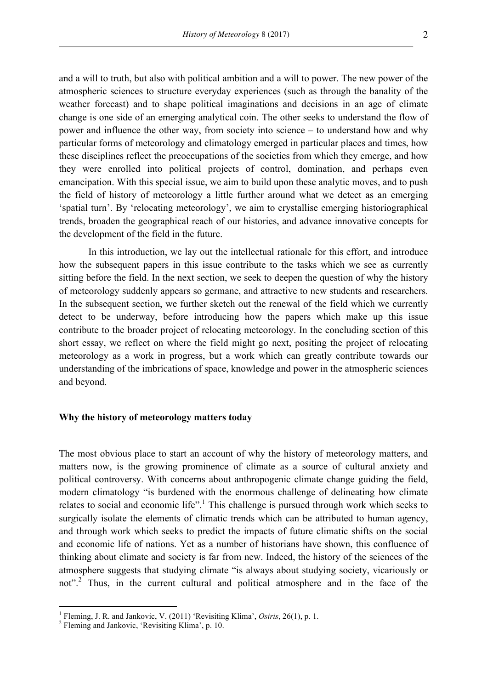and a will to truth, but also with political ambition and a will to power. The new power of the atmospheric sciences to structure everyday experiences (such as through the banality of the weather forecast) and to shape political imaginations and decisions in an age of climate change is one side of an emerging analytical coin. The other seeks to understand the flow of power and influence the other way, from society into science – to understand how and why particular forms of meteorology and climatology emerged in particular places and times, how these disciplines reflect the preoccupations of the societies from which they emerge, and how they were enrolled into political projects of control, domination, and perhaps even emancipation. With this special issue, we aim to build upon these analytic moves, and to push the field of history of meteorology a little further around what we detect as an emerging 'spatial turn'. By 'relocating meteorology', we aim to crystallise emerging historiographical trends, broaden the geographical reach of our histories, and advance innovative concepts for the development of the field in the future.

In this introduction, we lay out the intellectual rationale for this effort, and introduce how the subsequent papers in this issue contribute to the tasks which we see as currently sitting before the field. In the next section, we seek to deepen the question of why the history of meteorology suddenly appears so germane, and attractive to new students and researchers. In the subsequent section, we further sketch out the renewal of the field which we currently detect to be underway, before introducing how the papers which make up this issue contribute to the broader project of relocating meteorology. In the concluding section of this short essay, we reflect on where the field might go next, positing the project of relocating meteorology as a work in progress, but a work which can greatly contribute towards our understanding of the imbrications of space, knowledge and power in the atmospheric sciences and beyond.

### **Why the history of meteorology matters today**

The most obvious place to start an account of why the history of meteorology matters, and matters now, is the growing prominence of climate as a source of cultural anxiety and political controversy. With concerns about anthropogenic climate change guiding the field, modern climatology "is burdened with the enormous challenge of delineating how climate relates to social and economic life".<sup>1</sup> This challenge is pursued through work which seeks to surgically isolate the elements of climatic trends which can be attributed to human agency, and through work which seeks to predict the impacts of future climatic shifts on the social and economic life of nations. Yet as a number of historians have shown, this confluence of thinking about climate and society is far from new. Indeed, the history of the sciences of the atmosphere suggests that studying climate "is always about studying society, vicariously or not".<sup>2</sup> Thus, in the current cultural and political atmosphere and in the face of the

 

<sup>&</sup>lt;sup>1</sup> Fleming, J. R. and Jankovic, V. (2011) 'Revisiting Klima', *Osiris*, 26(1), p. 1.<br><sup>2</sup> Fleming and Jankovic, 'Revisiting Klima', p. 10.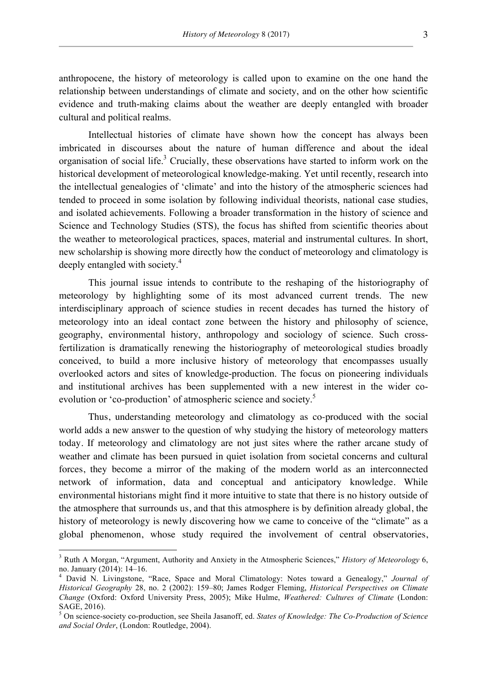anthropocene, the history of meteorology is called upon to examine on the one hand the relationship between understandings of climate and society, and on the other how scientific evidence and truth-making claims about the weather are deeply entangled with broader cultural and political realms.

Intellectual histories of climate have shown how the concept has always been imbricated in discourses about the nature of human difference and about the ideal organisation of social life.<sup>3</sup> Crucially, these observations have started to inform work on the historical development of meteorological knowledge-making. Yet until recently, research into the intellectual genealogies of 'climate' and into the history of the atmospheric sciences had tended to proceed in some isolation by following individual theorists, national case studies, and isolated achievements. Following a broader transformation in the history of science and Science and Technology Studies (STS), the focus has shifted from scientific theories about the weather to meteorological practices, spaces, material and instrumental cultures. In short, new scholarship is showing more directly how the conduct of meteorology and climatology is deeply entangled with society.<sup>4</sup>

This journal issue intends to contribute to the reshaping of the historiography of meteorology by highlighting some of its most advanced current trends. The new interdisciplinary approach of science studies in recent decades has turned the history of meteorology into an ideal contact zone between the history and philosophy of science, geography, environmental history, anthropology and sociology of science. Such crossfertilization is dramatically renewing the historiography of meteorological studies broadly conceived, to build a more inclusive history of meteorology that encompasses usually overlooked actors and sites of knowledge-production. The focus on pioneering individuals and institutional archives has been supplemented with a new interest in the wider coevolution or 'co-production' of atmospheric science and society.<sup>5</sup>

Thus, understanding meteorology and climatology as co-produced with the social world adds a new answer to the question of why studying the history of meteorology matters today. If meteorology and climatology are not just sites where the rather arcane study of weather and climate has been pursued in quiet isolation from societal concerns and cultural forces, they become a mirror of the making of the modern world as an interconnected network of information, data and conceptual and anticipatory knowledge. While environmental historians might find it more intuitive to state that there is no history outside of the atmosphere that surrounds us, and that this atmosphere is by definition already global, the history of meteorology is newly discovering how we came to conceive of the "climate" as a global phenomenon, whose study required the involvement of central observatories,

 <sup>3</sup> Ruth A Morgan, "Argument, Authority and Anxiety in the Atmospheric Sciences," *History of Meteorology* 6, no. January (2014): 14–16. <sup>4</sup> David N. Livingstone, "Race, Space and Moral Climatology: Notes toward a Genealogy," *Journal of* 

*Historical Geography* 28, no. 2 (2002): 159–80; James Rodger Fleming, *Historical Perspectives on Climate Change* (Oxford: Oxford University Press, 2005); Mike Hulme, *Weathered: Cultures of Climate* (London: SAGE, 2016).

<sup>5</sup> On science-society co-production, see Sheila Jasanoff, ed. *States of Knowledge: The Co-Production of Science and Social Order*, (London: Routledge, 2004).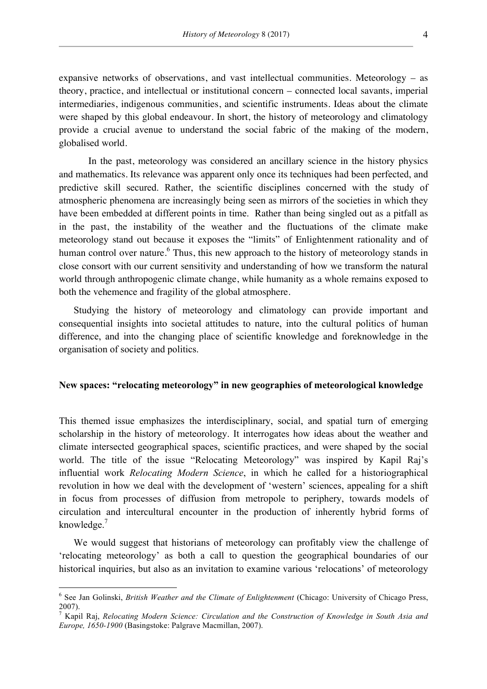expansive networks of observations, and vast intellectual communities. Meteorology – as theory, practice, and intellectual or institutional concern – connected local savants, imperial intermediaries, indigenous communities, and scientific instruments. Ideas about the climate were shaped by this global endeavour. In short, the history of meteorology and climatology provide a crucial avenue to understand the social fabric of the making of the modern, globalised world.

In the past, meteorology was considered an ancillary science in the history physics and mathematics. Its relevance was apparent only once its techniques had been perfected, and predictive skill secured. Rather, the scientific disciplines concerned with the study of atmospheric phenomena are increasingly being seen as mirrors of the societies in which they have been embedded at different points in time. Rather than being singled out as a pitfall as in the past, the instability of the weather and the fluctuations of the climate make meteorology stand out because it exposes the "limits" of Enlightenment rationality and of human control over nature.<sup>6</sup> Thus, this new approach to the history of meteorology stands in close consort with our current sensitivity and understanding of how we transform the natural world through anthropogenic climate change, while humanity as a whole remains exposed to both the vehemence and fragility of the global atmosphere.

Studying the history of meteorology and climatology can provide important and consequential insights into societal attitudes to nature, into the cultural politics of human difference, and into the changing place of scientific knowledge and foreknowledge in the organisation of society and politics.

## **New spaces: "relocating meteorology" in new geographies of meteorological knowledge**

This themed issue emphasizes the interdisciplinary, social, and spatial turn of emerging scholarship in the history of meteorology. It interrogates how ideas about the weather and climate intersected geographical spaces, scientific practices, and were shaped by the social world. The title of the issue "Relocating Meteorology" was inspired by Kapil Raj's influential work *Relocating Modern Science*, in which he called for a historiographical revolution in how we deal with the development of 'western' sciences, appealing for a shift in focus from processes of diffusion from metropole to periphery, towards models of circulation and intercultural encounter in the production of inherently hybrid forms of knowledge.<sup>7</sup>

We would suggest that historians of meteorology can profitably view the challenge of 'relocating meteorology' as both a call to question the geographical boundaries of our historical inquiries, but also as an invitation to examine various 'relocations' of meteorology

 <sup>6</sup> See Jan Golinski, *British Weather and the Climate of Enlightenment* (Chicago: University of Chicago Press, 2007).

<sup>7</sup> Kapil Raj, *Relocating Modern Science: Circulation and the Construction of Knowledge in South Asia and Europe, 1650-1900* (Basingstoke: Palgrave Macmillan, 2007).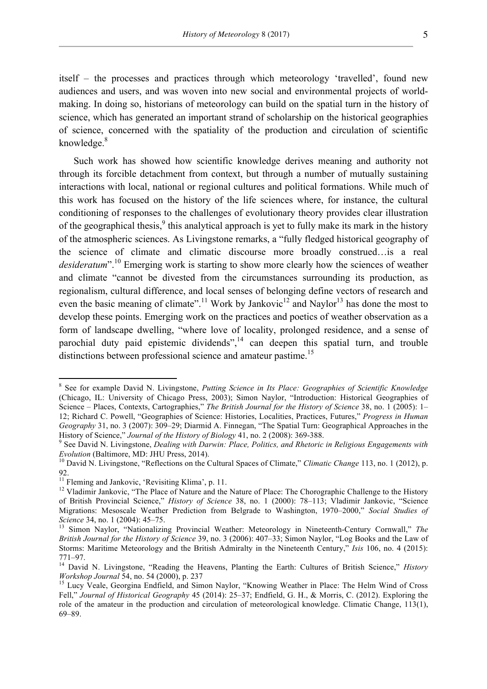itself – the processes and practices through which meteorology 'travelled', found new audiences and users, and was woven into new social and environmental projects of worldmaking. In doing so, historians of meteorology can build on the spatial turn in the history of science, which has generated an important strand of scholarship on the historical geographies of science, concerned with the spatiality of the production and circulation of scientific knowledge. $8$ 

Such work has showed how scientific knowledge derives meaning and authority not through its forcible detachment from context, but through a number of mutually sustaining interactions with local, national or regional cultures and political formations. While much of this work has focused on the history of the life sciences where, for instance, the cultural conditioning of responses to the challenges of evolutionary theory provides clear illustration of the geographical thesis, $\frac{9}{3}$  this analytical approach is yet to fully make its mark in the history of the atmospheric sciences. As Livingstone remarks, a "fully fledged historical geography of the science of climate and climatic discourse more broadly construed…is a real *desideratum*".<sup>10</sup> Emerging work is starting to show more clearly how the sciences of weather and climate "cannot be divested from the circumstances surrounding its production, as regionalism, cultural difference, and local senses of belonging define vectors of research and even the basic meaning of climate".<sup>11</sup> Work by Jankovic<sup>12</sup> and Naylor<sup>13</sup> has done the most to develop these points. Emerging work on the practices and poetics of weather observation as a form of landscape dwelling, "where love of locality, prolonged residence, and a sense of parochial duty paid epistemic dividends",  $14$  can deepen this spatial turn, and trouble distinctions between professional science and amateur pastime.<sup>15</sup>

 <sup>8</sup> See for example David N. Livingstone, *Putting Science in Its Place: Geographies of Scientific Knowledge* (Chicago, IL: University of Chicago Press, 2003); Simon Naylor, "Introduction: Historical Geographies of Science – Places, Contexts, Cartographies," *The British Journal for the History of Science* 38, no. 1 (2005): 1– 12; Richard C. Powell, "Geographies of Science: Histories, Localities, Practices, Futures," *Progress in Human Geography* 31, no. 3 (2007): 309–29; Diarmid A. Finnegan, "The Spatial Turn: Geographical Approaches in the History of Science," Journal of the History of Biology 41, no. 2 (2008): 369-388.

<sup>&</sup>lt;sup>9</sup> See David N. Livingstone, *Dealing with Darwin: Place, Politics, and Rhetoric in Religious Engagements with Evolution* (Baltimore, MD: JHU Press, 2014).<br><sup>10</sup> David N. Livingstone, "Reflections on the Cultural Spaces of Climate," *Climatic Change* 113, no. 1 (2012), p.

<sup>92.&</sup>lt;br><sup>11</sup> Fleming and Jankovic, 'Revisiting Klima', p. 11.

<sup>&</sup>lt;sup>12</sup> Vladimir Jankovic, "The Place of Nature and the Nature of Place: The Chorographic Challenge to the History of British Provincial Science," *History of Science* 38, no. 1 (2000): 78–113; Vladimir Jankovic, "Science Migrations: Mesoscale Weather Prediction from Belgrade to Washington, 1970–2000," *Social Studies of Science* 34, no. 1 (2004): 45–75.<br><sup>13</sup> Simon Naylor, "Nationalizing Provincial Weather: Meteorology in Nineteenth-Century Cornwall," *The* 

*British Journal for the History of Science* 39, no. 3 (2006): 407–33; Simon Naylor, "Log Books and the Law of Storms: Maritime Meteorology and the British Admiralty in the Nineteenth Century," *Isis* 106, no. 4 (2015):

<sup>771–97.</sup> <sup>14</sup> David N. Livingstone, "Reading the Heavens, Planting the Earth: Cultures of British Science," *History* 

<sup>&</sup>lt;sup>15</sup> Lucy Veale, Georgina Endfield, and Simon Naylor, "Knowing Weather in Place: The Helm Wind of Cross Fell," *Journal of Historical Geography* 45 (2014): 25–37; Endfield, G. H., & Morris, C. (2012). Exploring the role of the amateur in the production and circulation of meteorological knowledge. Climatic Change, 113(1), 69–89.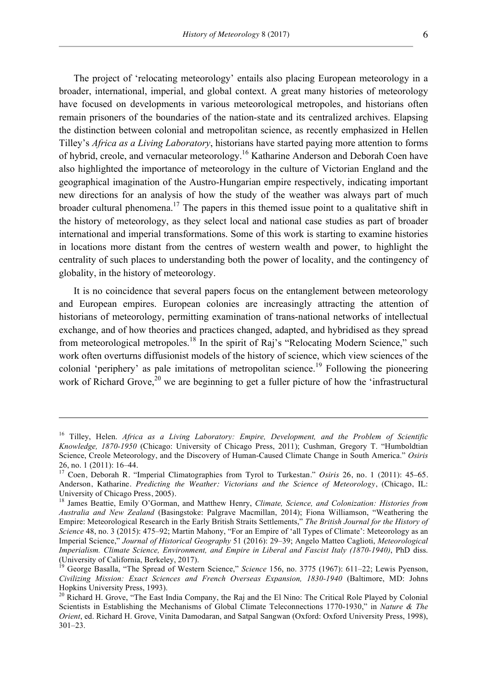The project of 'relocating meteorology' entails also placing European meteorology in a broader, international, imperial, and global context. A great many histories of meteorology have focused on developments in various meteorological metropoles, and historians often remain prisoners of the boundaries of the nation-state and its centralized archives. Elapsing the distinction between colonial and metropolitan science, as recently emphasized in Hellen Tilley's *Africa as a Living Laboratory*, historians have started paying more attention to forms of hybrid, creole, and vernacular meteorology.<sup>16</sup> Katharine Anderson and Deborah Coen have also highlighted the importance of meteorology in the culture of Victorian England and the geographical imagination of the Austro-Hungarian empire respectively, indicating important new directions for an analysis of how the study of the weather was always part of much broader cultural phenomena.<sup>17</sup> The papers in this themed issue point to a qualitative shift in the history of meteorology, as they select local and national case studies as part of broader international and imperial transformations. Some of this work is starting to examine histories in locations more distant from the centres of western wealth and power, to highlight the centrality of such places to understanding both the power of locality, and the contingency of globality, in the history of meteorology.

It is no coincidence that several papers focus on the entanglement between meteorology and European empires. European colonies are increasingly attracting the attention of historians of meteorology, permitting examination of trans-national networks of intellectual exchange, and of how theories and practices changed, adapted, and hybridised as they spread from meteorological metropoles.<sup>18</sup> In the spirit of Raj's "Relocating Modern Science," such work often overturns diffusionist models of the history of science, which view sciences of the colonial 'periphery' as pale imitations of metropolitan science.<sup>19</sup> Following the pioneering work of Richard Grove,<sup>20</sup> we are beginning to get a fuller picture of how the 'infrastructural

<u> 1989 - Jan Sarajević, politički predsjednik i politički politički politički politički politički politički po</u>

<sup>16</sup> Tilley, Helen. *Africa as a Living Laboratory: Empire, Development, and the Problem of Scientific Knowledge, 1870-1950* (Chicago: University of Chicago Press, 2011); Cushman, Gregory T. "Humboldtian Science, Creole Meteorology, and the Discovery of Human-Caused Climate Change in South America." *Osiris*

<sup>26,</sup> no. 1 (2011): 16–44. 17 Coen, Deborah R. "Imperial Climatographies from Tyrol to Turkestan." *Osiris* 26, no. 1 (2011): 45–65. Anderson, Katharine. *Predicting the Weather: Victorians and the Science of Meteorology*, (Chicago, IL: University of Chicago Press, 2005).<br><sup>18</sup> James Beattie, Emily O'Gorman, and Matthew Henry, *Climate, Science, and Colonization: Histories from* 

*Australia and New Zealand* (Basingstoke: Palgrave Macmillan, 2014); Fiona Williamson, "Weathering the Empire: Meteorological Research in the Early British Straits Settlements," *The British Journal for the History of Science* 48, no. 3 (2015): 475–92; Martin Mahony, "For an Empire of 'all Types of Climate': Meteorology as an Imperial Science," *Journal of Historical Geography* 51 (2016): 29–39; Angelo Matteo Caglioti, *Meteorological Imperialism. Climate Science, Environment, and Empire in Liberal and Fascist Italy (1870-1940)*, PhD diss. (University of California, Berkeley, 2017). <sup>19</sup> George Basalla, "The Spread of Western Science," *Science* 156, no. 3775 (1967): 611–22; Lewis Pyenson,

*Civilizing Mission: Exact Sciences and French Overseas Expansion, 1830-1940* (Baltimore, MD: Johns Hopkins University Press, 1993).

<sup>&</sup>lt;sup>20</sup> Richard H. Grove, "The East India Company, the Raj and the El Nino: The Critical Role Played by Colonial Scientists in Establishing the Mechanisms of Global Climate Teleconnections 1770-1930," in *Nature & The Orient*, ed. Richard H. Grove, Vinita Damodaran, and Satpal Sangwan (Oxford: Oxford University Press, 1998), 301–23.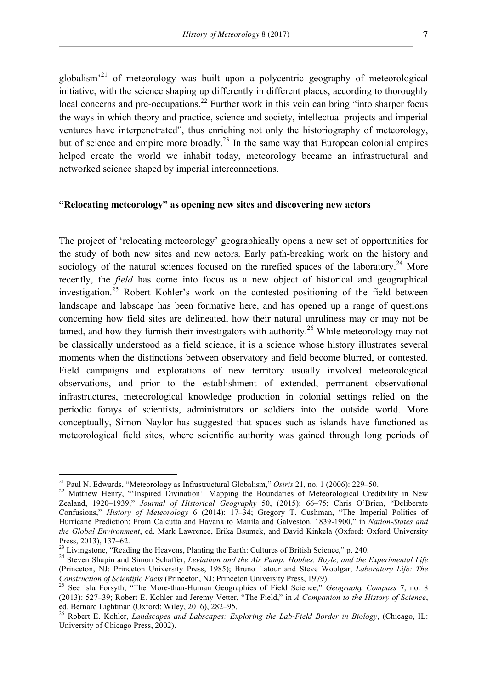globalism'<sup>21</sup> of meteorology was built upon a polycentric geography of meteorological initiative, with the science shaping up differently in different places, according to thoroughly local concerns and pre-occupations.<sup>22</sup> Further work in this vein can bring "into sharper focus the ways in which theory and practice, science and society, intellectual projects and imperial ventures have interpenetrated", thus enriching not only the historiography of meteorology, but of science and empire more broadly.<sup>23</sup> In the same way that European colonial empires helped create the world we inhabit today, meteorology became an infrastructural and networked science shaped by imperial interconnections.

# **"Relocating meteorology" as opening new sites and discovering new actors**

The project of 'relocating meteorology' geographically opens a new set of opportunities for the study of both new sites and new actors. Early path-breaking work on the history and sociology of the natural sciences focused on the rarefied spaces of the laboratory.<sup>24</sup> More recently, the *field* has come into focus as a new object of historical and geographical investigation.<sup>25</sup> Robert Kohler's work on the contested positioning of the field between landscape and labscape has been formative here, and has opened up a range of questions concerning how field sites are delineated, how their natural unruliness may or may not be tamed, and how they furnish their investigators with authority.<sup>26</sup> While meteorology may not be classically understood as a field science, it is a science whose history illustrates several moments when the distinctions between observatory and field become blurred, or contested. Field campaigns and explorations of new territory usually involved meteorological observations, and prior to the establishment of extended, permanent observational infrastructures, meteorological knowledge production in colonial settings relied on the periodic forays of scientists, administrators or soldiers into the outside world. More conceptually, Simon Naylor has suggested that spaces such as islands have functioned as meteorological field sites, where scientific authority was gained through long periods of

<sup>&</sup>lt;sup>21</sup> Paul N. Edwards, "Meteorology as Infrastructural Globalism," *Osiris* 21, no. 1 (2006): 229–50.<br><sup>22</sup> Matthew Henry, "'Inspired Divination': Mapping the Boundaries of Meteorological Credibility in New Zealand, 1920–1939," *Journal of Historical Geography* 50, (2015): 66–75; Chris O'Brien, "Deliberate Confusions," *History of Meteorology* 6 (2014): 17–34; Gregory T. Cushman, "The Imperial Politics of Hurricane Prediction: From Calcutta and Havana to Manila and Galveston, 1839-1900," in *Nation-States and the Global Environment*, ed. Mark Lawrence, Erika Bsumek, and David Kinkela (Oxford: Oxford University Press, 2013), 137–62.<br><sup>23</sup> Livingstone, "Reading the Heavens, Planting the Earth: Cultures of British Science," p. 240.<br><sup>24</sup> Steven Shapin and Simon Schaffer, *Leviathan and the Air Pump: Hobbes, Boyle, and the Experimenta* 

<sup>(</sup>Princeton, NJ: Princeton University Press, 1985); Bruno Latour and Steve Woolgar, *Laboratory Life: The Construction of Scientific Facts* (Princeton, NJ: Princeton University Press, 1979).<br><sup>25</sup> See Isla Forsyth, "The More-than-Human Geographies of Field Science," *Geography Compass* 7, no. 8

<sup>(2013): 527–39;</sup> Robert E. Kohler and Jeremy Vetter, "The Field," in *A Companion to the History of Science*, ed. Bernard Lightman (Oxford: Wiley, 2016), 282–95. <sup>26</sup> Robert E. Kohler, *Landscapes and Labscapes: Exploring the Lab-Field Border in Biology*, (Chicago, IL:

University of Chicago Press, 2002).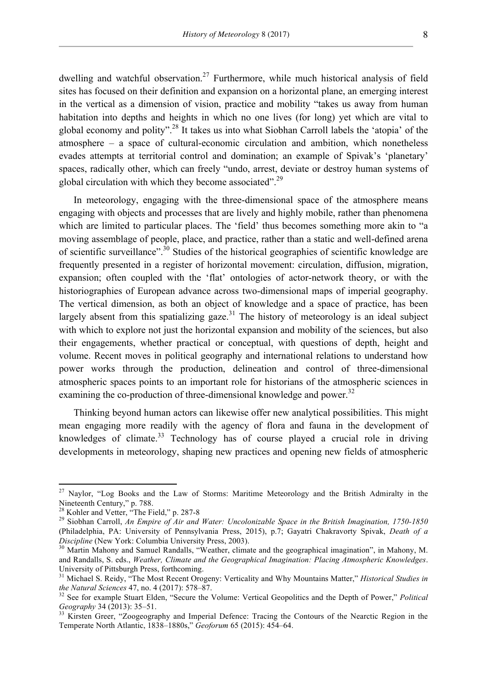dwelling and watchful observation.<sup>27</sup> Furthermore, while much historical analysis of field sites has focused on their definition and expansion on a horizontal plane, an emerging interest in the vertical as a dimension of vision, practice and mobility "takes us away from human habitation into depths and heights in which no one lives (for long) yet which are vital to global economy and polity".<sup>28</sup> It takes us into what Siobhan Carroll labels the 'atopia' of the atmosphere – a space of cultural-economic circulation and ambition, which nonetheless evades attempts at territorial control and domination; an example of Spivak's 'planetary' spaces, radically other, which can freely "undo, arrest, deviate or destroy human systems of global circulation with which they become associated".<sup>29</sup>

In meteorology, engaging with the three-dimensional space of the atmosphere means engaging with objects and processes that are lively and highly mobile, rather than phenomena which are limited to particular places. The 'field' thus becomes something more akin to "a moving assemblage of people, place, and practice, rather than a static and well-defined arena of scientific surveillance".<sup>30</sup> Studies of the historical geographies of scientific knowledge are frequently presented in a register of horizontal movement: circulation, diffusion, migration, expansion; often coupled with the 'flat' ontologies of actor-network theory, or with the historiographies of European advance across two-dimensional maps of imperial geography. The vertical dimension, as both an object of knowledge and a space of practice, has been largely absent from this spatializing gaze.<sup>31</sup> The history of meteorology is an ideal subject with which to explore not just the horizontal expansion and mobility of the sciences, but also their engagements, whether practical or conceptual, with questions of depth, height and volume. Recent moves in political geography and international relations to understand how power works through the production, delineation and control of three-dimensional atmospheric spaces points to an important role for historians of the atmospheric sciences in examining the co-production of three-dimensional knowledge and power.<sup>32</sup>

Thinking beyond human actors can likewise offer new analytical possibilities. This might mean engaging more readily with the agency of flora and fauna in the development of knowledges of climate.<sup>33</sup> Technology has of course played a crucial role in driving developments in meteorology, shaping new practices and opening new fields of atmospheric

<sup>&</sup>lt;sup>27</sup> Naylor, "Log Books and the Law of Storms: Maritime Meteorology and the British Admiralty in the Nineteenth Century," p. 788.<br><sup>28</sup> Kohler and Vetter, "The Field," p. 287-8

<sup>&</sup>lt;sup>29</sup> Siobhan Carroll, An Empire of Air and Water: Uncolonizable Space in the British Imagination, 1750-1850 (Philadelphia, PA: University of Pennsylvania Press, 2015), p.7; Gayatri Chakravorty Spivak, *Death of a Discipline* (New York: Columbia University Press, 2003).<br><sup>30</sup> Martin Mahony and Samuel Randalls, "Weather, climate and the geographical imagination", in Mahony, M.

and Randalls, S. eds., *Weather, Climate and the Geographical Imagination: Placing Atmospheric Knowledges*. University of Pittsburgh Press, forthcoming.

<sup>31</sup> Michael S. Reidy, "The Most Recent Orogeny: Verticality and Why Mountains Matter," *Historical Studies in* 

*the Natural Sciences* 47, no. 4 (2017): 578–87.<br><sup>32</sup> See for example Stuart Elden, "Secure the Volume: Vertical Geopolitics and the Depth of Power," *Political Geography* 34 (2013): 35–51.

<sup>&</sup>lt;sup>33</sup> Kirsten Greer, "Zoogeography and Imperial Defence: Tracing the Contours of the Nearctic Region in the Temperate North Atlantic, 1838–1880s," *Geoforum* 65 (2015): 454–64.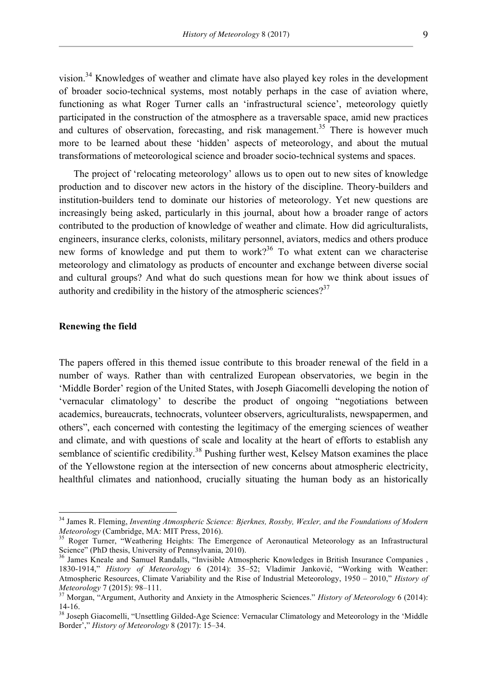vision.<sup>34</sup> Knowledges of weather and climate have also played key roles in the development of broader socio-technical systems, most notably perhaps in the case of aviation where, functioning as what Roger Turner calls an 'infrastructural science', meteorology quietly participated in the construction of the atmosphere as a traversable space, amid new practices and cultures of observation, forecasting, and risk management.<sup>35</sup> There is however much more to be learned about these 'hidden' aspects of meteorology, and about the mutual transformations of meteorological science and broader socio-technical systems and spaces.

The project of 'relocating meteorology' allows us to open out to new sites of knowledge production and to discover new actors in the history of the discipline. Theory-builders and institution-builders tend to dominate our histories of meteorology. Yet new questions are increasingly being asked, particularly in this journal, about how a broader range of actors contributed to the production of knowledge of weather and climate. How did agriculturalists, engineers, insurance clerks, colonists, military personnel, aviators, medics and others produce new forms of knowledge and put them to work?<sup>36</sup> To what extent can we characterise meteorology and climatology as products of encounter and exchange between diverse social and cultural groups? And what do such questions mean for how we think about issues of authority and credibility in the history of the atmospheric sciences?<sup>37</sup>

### **Renewing the field**

The papers offered in this themed issue contribute to this broader renewal of the field in a number of ways. Rather than with centralized European observatories, we begin in the 'Middle Border' region of the United States, with Joseph Giacomelli developing the notion of 'vernacular climatology' to describe the product of ongoing "negotiations between academics, bureaucrats, technocrats, volunteer observers, agriculturalists, newspapermen, and others", each concerned with contesting the legitimacy of the emerging sciences of weather and climate, and with questions of scale and locality at the heart of efforts to establish any semblance of scientific credibility.<sup>38</sup> Pushing further west, Kelsey Matson examines the place of the Yellowstone region at the intersection of new concerns about atmospheric electricity, healthful climates and nationhood, crucially situating the human body as an historically

<sup>&</sup>lt;sup>34</sup> James R. Fleming, *Inventing Atmospheric Science: Bjerknes, Rossby, Wexler, and the Foundations of Modern Meteorology (Cambridge, MA: MIT Press, 2016).* 

<sup>&</sup>lt;sup>35</sup> Roger Turner, "Weathering Heights: The Emergence of Aeronautical Meteorology as an Infrastructural Science" (PhD thesis, University of Pennsylvania, 2010).

<sup>&</sup>lt;sup>36</sup> James Kneale and Samuel Randalls, "Invisible Atmospheric Knowledges in British Insurance Companies , 1830-1914," *History of Meteorology* 6 (2014): 35–52; Vladimir Janković, "Working with Weather: Atmospheric Resources, Climate Variability and the Rise of Industrial Meteorology, 1950 – 2010," *History of Meteorology* 7 (2015): 98–111. <sup>37</sup> Morgan, "Argument, Authority and Anxiety in the Atmospheric Sciences." *History of Meteorology* 6 (2014):

<sup>14-16.</sup> <sup>38</sup> Joseph Giacomelli, "Unsettling Gilded-Age Science: Vernacular Climatology and Meteorology in the 'Middle

Border'," *History of Meteorology* 8 (2017): 15–34.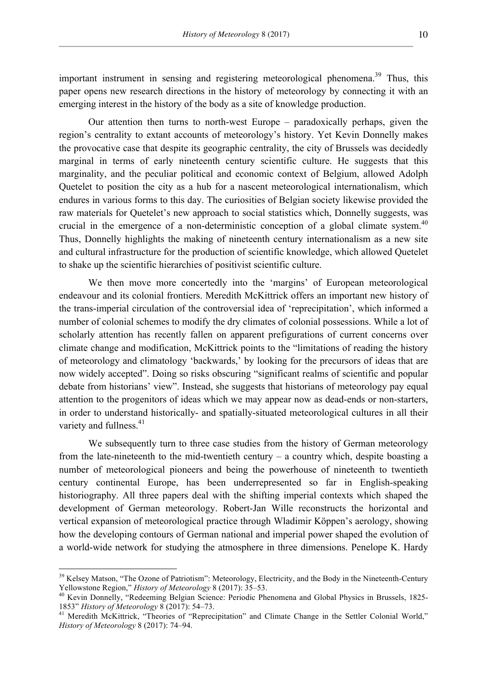important instrument in sensing and registering meteorological phenomena.<sup>39</sup> Thus, this paper opens new research directions in the history of meteorology by connecting it with an emerging interest in the history of the body as a site of knowledge production.

Our attention then turns to north-west Europe – paradoxically perhaps, given the region's centrality to extant accounts of meteorology's history. Yet Kevin Donnelly makes the provocative case that despite its geographic centrality, the city of Brussels was decidedly marginal in terms of early nineteenth century scientific culture. He suggests that this marginality, and the peculiar political and economic context of Belgium, allowed Adolph Quetelet to position the city as a hub for a nascent meteorological internationalism, which endures in various forms to this day. The curiosities of Belgian society likewise provided the raw materials for Quetelet's new approach to social statistics which, Donnelly suggests, was crucial in the emergence of a non-deterministic conception of a global climate system.<sup>40</sup> Thus, Donnelly highlights the making of nineteenth century internationalism as a new site and cultural infrastructure for the production of scientific knowledge, which allowed Quetelet to shake up the scientific hierarchies of positivist scientific culture.

We then move more concertedly into the 'margins' of European meteorological endeavour and its colonial frontiers. Meredith McKittrick offers an important new history of the trans-imperial circulation of the controversial idea of 'reprecipitation', which informed a number of colonial schemes to modify the dry climates of colonial possessions. While a lot of scholarly attention has recently fallen on apparent prefigurations of current concerns over climate change and modification, McKittrick points to the "limitations of reading the history of meteorology and climatology 'backwards,' by looking for the precursors of ideas that are now widely accepted". Doing so risks obscuring "significant realms of scientific and popular debate from historians' view". Instead, she suggests that historians of meteorology pay equal attention to the progenitors of ideas which we may appear now as dead-ends or non-starters, in order to understand historically- and spatially-situated meteorological cultures in all their variety and fullness. $41$ 

We subsequently turn to three case studies from the history of German meteorology from the late-nineteenth to the mid-twentieth century – a country which, despite boasting a number of meteorological pioneers and being the powerhouse of nineteenth to twentieth century continental Europe, has been underrepresented so far in English-speaking historiography. All three papers deal with the shifting imperial contexts which shaped the development of German meteorology. Robert-Jan Wille reconstructs the horizontal and vertical expansion of meteorological practice through Wladimir Köppen's aerology, showing how the developing contours of German national and imperial power shaped the evolution of a world-wide network for studying the atmosphere in three dimensions. Penelope K. Hardy

<sup>&</sup>lt;sup>39</sup> Kelsey Matson, "The Ozone of Patriotism": Meteorology, Electricity, and the Body in the Nineteenth-Century Yellowstone Region," *History of Meteorology* 8 (2017): 35–53.<br><sup>40</sup> Kevin Donnelly, "Redeeming Belgian Science: Periodic Phenomena and Global Physics in Brussels, 1825-

<sup>1853&</sup>quot; *History of Meteorology* 8 (2017): 54–73. <sup>41</sup> Meredith McKittrick, "Theories of "Reprecipitation" and Climate Change in the Settler Colonial World,"

*History of Meteorology* 8 (2017): 74–94.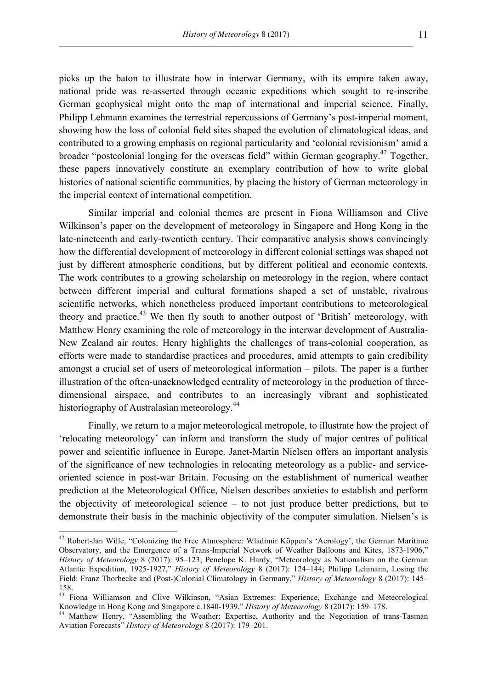picks up the baton to illustrate how in interwar Germany, with its empire taken away, national pride was re-asserted through oceanic expeditions which sought to re-inscribe German geophysical might onto the map of international and imperial science. Finally, Philipp Lehmann examines the terrestrial repercussions of Germany's post-imperial moment, showing how the loss of colonial field sites shaped the evolution of climatological ideas, and contributed to a growing emphasis on regional particularity and 'colonial revisionism' amid a broader "postcolonial longing for the overseas field" within German geography.<sup>42</sup> Together, these papers innovatively constitute an exemplary contribution of how to write global histories of national scientific communities, by placing the history of German meteorology in the imperial context of international competition.

Similar imperial and colonial themes are present in Fiona Williamson and Clive Wilkinson's paper on the development of meteorology in Singapore and Hong Kong in the late-nineteenth and early-twentieth century. Their comparative analysis shows convincingly how the differential development of meteorology in different colonial settings was shaped not just by different atmospheric conditions, but by different political and economic contexts. The work contributes to a growing scholarship on meteorology in the region, where contact between different imperial and cultural formations shaped a set of unstable, rivalrous scientific networks, which nonetheless produced important contributions to meteorological theory and practice.<sup>43</sup> We then fly south to another outpost of 'British' meteorology, with Matthew Henry examining the role of meteorology in the interwar development of Australia-New Zealand air routes. Henry highlights the challenges of trans-colonial cooperation, as efforts were made to standardise practices and procedures, amid attempts to gain credibility amongst a crucial set of users of meteorological information – pilots. The paper is a further illustration of the often-unacknowledged centrality of meteorology in the production of threedimensional airspace, and contributes to an increasingly vibrant and sophisticated historiography of Australasian meteorology.<sup>44</sup>

Finally, we return to a major meteorological metropole, to illustrate how the project of 'relocating meteorology' can inform and transform the study of major centres of political power and scientific influence in Europe. Janet-Martin Nielsen offers an important analysis of the significance of new technologies in relocating meteorology as a public- and serviceoriented science in post-war Britain. Focusing on the establishment of numerical weather prediction at the Meteorological Office, Nielsen describes anxieties to establish and perform the objectivity of meteorological science – to not just produce better predictions, but to demonstrate their basis in the machinic objectivity of the computer simulation. Nielsen's is

<sup>&</sup>lt;sup>42</sup> Robert-Jan Wille, "Colonizing the Free Atmosphere: Wladimir Köppen's 'Aerology', the German Maritime Observatory, and the Emergence of a Trans-Imperial Network of Weather Balloons and Kites, 1873-1906," *History of Meteorology* 8 (2017): 95–123; Penelope K. Hardy, "Meteorology as Nationalism on the German Atlantic Expedition, 1925-1927," *History of Meteorology* 8 (2017): 124–144; Philipp Lehmann, Losing the Field: Franz Thorbecke and (Post-)Colonial Climatology in Germany," *History of Meteorology* 8 (2017): 145– 158.

<sup>&</sup>lt;sup>43</sup> Fiona Williamson and Clive Wilkinson, "Asian Extremes: Experience, Exchange and Meteorological Knowledge in Hong Kong and Singapore c.1840-1939," History of Meteorology 8 (2017): 159–178.

<sup>&</sup>lt;sup>44</sup> Matthew Henry, "Assembling the Weather: Expertise, Authority and the Negotiation of trans-Tasman Aviation Forecasts" *History of Meteorology* 8 (2017): 179–201.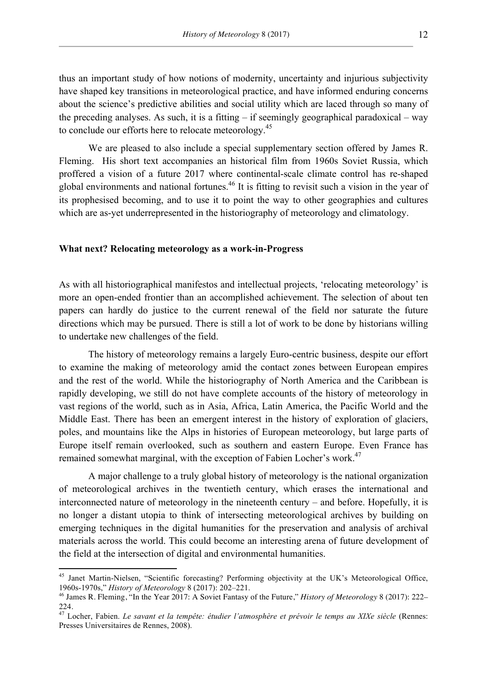thus an important study of how notions of modernity, uncertainty and injurious subjectivity have shaped key transitions in meteorological practice, and have informed enduring concerns about the science's predictive abilities and social utility which are laced through so many of the preceding analyses. As such, it is a fitting  $-$  if seemingly geographical paradoxical  $-$  way to conclude our efforts here to relocate meteorology.<sup>45</sup>

We are pleased to also include a special supplementary section offered by James R. Fleming. His short text accompanies an historical film from 1960s Soviet Russia, which proffered a vision of a future 2017 where continental-scale climate control has re-shaped global environments and national fortunes.<sup>46</sup> It is fitting to revisit such a vision in the year of its prophesised becoming, and to use it to point the way to other geographies and cultures which are as-yet underrepresented in the historiography of meteorology and climatology.

### **What next? Relocating meteorology as a work-in-Progress**

As with all historiographical manifestos and intellectual projects, 'relocating meteorology' is more an open-ended frontier than an accomplished achievement. The selection of about ten papers can hardly do justice to the current renewal of the field nor saturate the future directions which may be pursued. There is still a lot of work to be done by historians willing to undertake new challenges of the field.

The history of meteorology remains a largely Euro-centric business, despite our effort to examine the making of meteorology amid the contact zones between European empires and the rest of the world. While the historiography of North America and the Caribbean is rapidly developing, we still do not have complete accounts of the history of meteorology in vast regions of the world, such as in Asia, Africa, Latin America, the Pacific World and the Middle East. There has been an emergent interest in the history of exploration of glaciers, poles, and mountains like the Alps in histories of European meteorology, but large parts of Europe itself remain overlooked, such as southern and eastern Europe. Even France has remained somewhat marginal, with the exception of Fabien Locher's work.<sup>47</sup>

A major challenge to a truly global history of meteorology is the national organization of meteorological archives in the twentieth century, which erases the international and interconnected nature of meteorology in the nineteenth century – and before. Hopefully, it is no longer a distant utopia to think of intersecting meteorological archives by building on emerging techniques in the digital humanities for the preservation and analysis of archival materials across the world. This could become an interesting arena of future development of the field at the intersection of digital and environmental humanities.

<sup>&</sup>lt;sup>45</sup> Janet Martin-Nielsen, "Scientific forecasting? Performing objectivity at the UK's Meteorological Office, 1960s-1970s," *History of Meteorology* 8 (2017): 202–221.

<sup>46</sup> James R. Fleming, "In the Year 2017: A Soviet Fantasy of the Future," *History of Meteorology* 8 (2017): 222– 224.

<sup>47</sup> Locher, Fabien. *Le savant et la tempête: étudier l'atmosphère et prévoir le temps au XIXe siècle* (Rennes: Presses Universitaires de Rennes, 2008).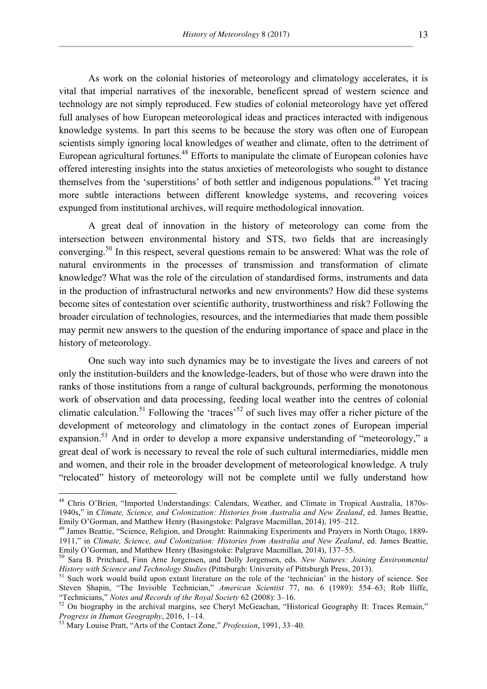As work on the colonial histories of meteorology and climatology accelerates, it is vital that imperial narratives of the inexorable, beneficent spread of western science and technology are not simply reproduced. Few studies of colonial meteorology have yet offered full analyses of how European meteorological ideas and practices interacted with indigenous knowledge systems. In part this seems to be because the story was often one of European scientists simply ignoring local knowledges of weather and climate, often to the detriment of European agricultural fortunes.<sup>48</sup> Efforts to manipulate the climate of European colonies have offered interesting insights into the status anxieties of meteorologists who sought to distance themselves from the 'superstitions' of both settler and indigenous populations.<sup>49</sup> Yet tracing more subtle interactions between different knowledge systems, and recovering voices expunged from institutional archives, will require methodological innovation.

A great deal of innovation in the history of meteorology can come from the intersection between environmental history and STS, two fields that are increasingly converging.50 In this respect, several questions remain to be answered: What was the role of natural environments in the processes of transmission and transformation of climate knowledge? What was the role of the circulation of standardised forms, instruments and data in the production of infrastructural networks and new environments? How did these systems become sites of contestation over scientific authority, trustworthiness and risk? Following the broader circulation of technologies, resources, and the intermediaries that made them possible may permit new answers to the question of the enduring importance of space and place in the history of meteorology.

One such way into such dynamics may be to investigate the lives and careers of not only the institution-builders and the knowledge-leaders, but of those who were drawn into the ranks of those institutions from a range of cultural backgrounds, performing the monotonous work of observation and data processing, feeding local weather into the centres of colonial climatic calculation.<sup>51</sup> Following the 'traces'<sup>52</sup> of such lives may offer a richer picture of the development of meteorology and climatology in the contact zones of European imperial expansion.<sup>53</sup> And in order to develop a more expansive understanding of "meteorology," a great deal of work is necessary to reveal the role of such cultural intermediaries, middle men and women, and their role in the broader development of meteorological knowledge. A truly "relocated" history of meteorology will not be complete until we fully understand how

 <sup>48</sup> Chris O'Brien, "Imported Understandings: Calendars, Weather, and Climate in Tropical Australia, 1870s-1940s," in *Climate, Science, and Colonization: Histories from Australia and New Zealand*, ed. James Beattie, Emily O'Gorman, and Matthew Henry (Basingstoke: Palgrave Macmillan, 2014), 195–212.<br><sup>49</sup> James Beattie, "Science, Religion, and Drought: Rainmaking Experiments and Prayers in North Otago, 1889-

<sup>1911,&</sup>quot; in *Climate, Science, and Colonization: Histories from Australia and New Zealand*, ed. James Beattie, Emily O'Gorman, and Matthew Henry (Basingstoke: Palgrave Macmillan, 2014), 137–55.

<sup>&</sup>lt;sup>50</sup> Sara B. Pritchard, Finn Arne Jorgensen, and Dolly Jorgensen, eds. *New Natures: Joining Environmental History with Science and Technology Studies* (Pittsburgh: University of Pittsburgh Press, 2013).<br><sup>51</sup> Such work would build upon extant literature on the role of the 'technician' in the history of science. See

Steven Shapin, "The Invisible Technician," *American Scientist* 77, no. 6 (1989): 554–63; Rob Iliffe, "Technicians," *Notes and Records of the Royal Society* 62 (2008): 3–16.

<sup>&</sup>lt;sup>52</sup> On biography in the archival margins, see Cheryl McGeachan, "Historical Geography II: Traces Remain," *Progress in Human Geography*, 2016, 1–14. <sup>53</sup> Mary Louise Pratt, "Arts of the Contact Zone," *Profession*, 1991, 33–40.